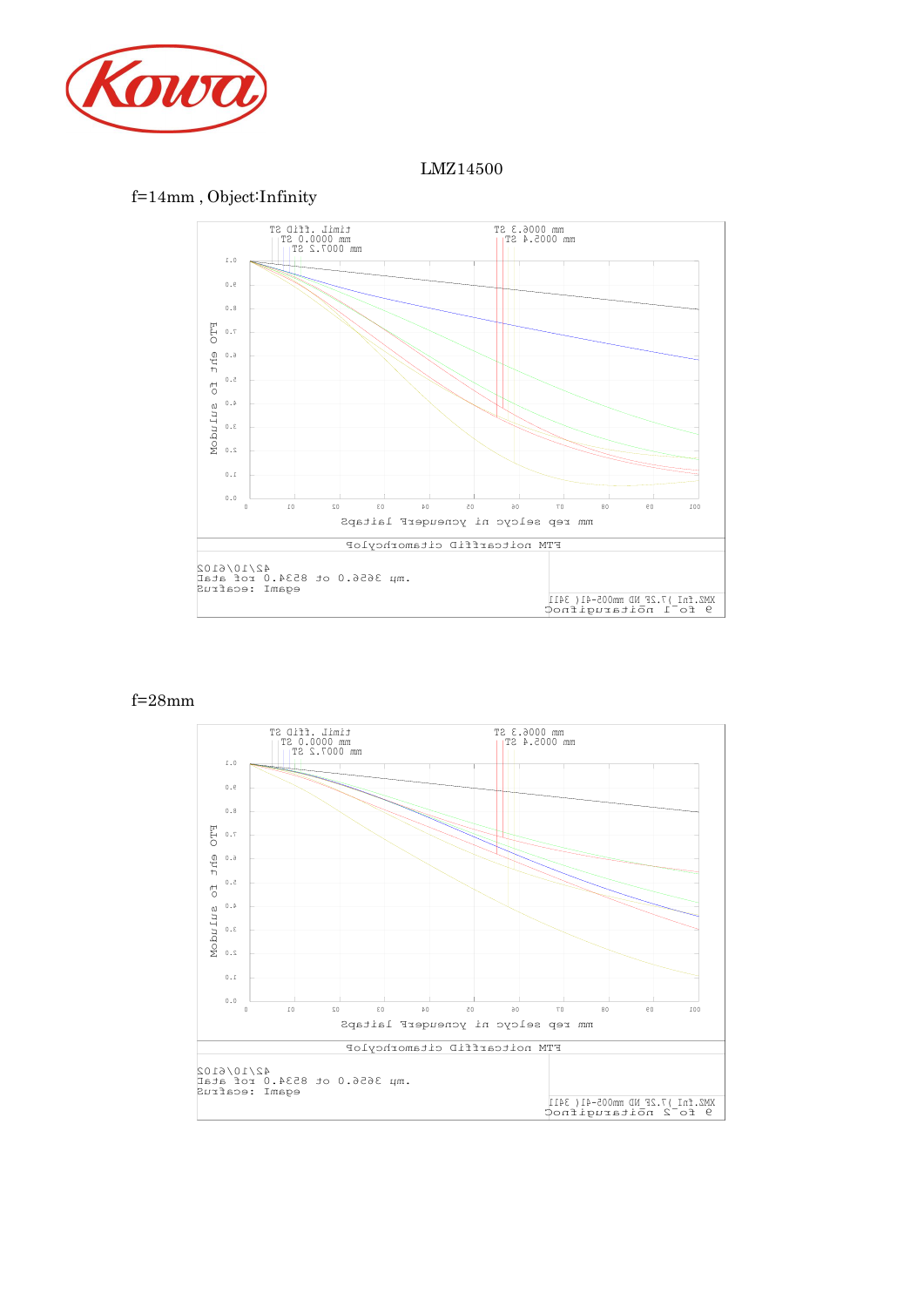

### LMZ14500

# f=14mm , Object:Infinity



#### f=28mm